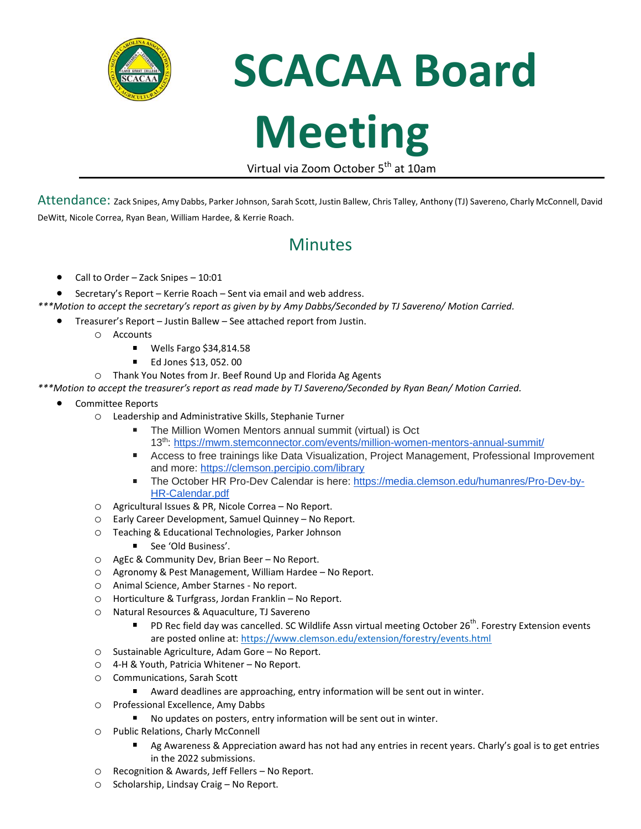

**SCACAA Board** 

## **Meeting**

Virtual via Zoom October 5<sup>th</sup> at 10am

Attendance: Zack Snipes, Amy Dabbs, Parker Johnson, Sarah Scott, Justin Ballew, Chris Talley, Anthony (TJ) Savereno, Charly McConnell, David DeWitt, Nicole Correa, Ryan Bean, William Hardee, & Kerrie Roach.

## **Minutes**

- Call to Order Zack Snipes 10:01
- Secretary's Report Kerrie Roach Sent via email and web address.
- *\*\*\*Motion to accept the secretary's report as given by by Amy Dabbs/Seconded by TJ Savereno/ Motion Carried.*
	- Treasurer's Report Justin Ballew See attached report from Justin.
		- o Accounts
			- Wells Fargo \$34,814.58
			- $\blacksquare$ Ed Jones \$13, 052. 00
		- o Thank You Notes from Jr. Beef Round Up and Florida Ag Agents

*\*\*\*Motion to accept the treasurer's report as read made by TJ Savereno/Seconded by Ryan Bean/ Motion Carried.*

- Committee Reports
	- o Leadership and Administrative Skills, Stephanie Turner
		- The Million Women Mentors annual summit (virtual) is Oct 13th: <https://mwm.stemconnector.com/events/million-women-mentors-annual-summit/>
		- $\mathbf{u}$ Access to free trainings like Data Visualization, Project Management, Professional Improvement and more: <https://clemson.percipio.com/library>
		- $\mathbf{u}$  . The October HR Pro-Dev Calendar is here: [https://media.clemson.edu/humanres/Pro-Dev-by-](https://media.clemson.edu/humanres/Pro-Dev-by-HR-Calendar.pdf)[HR-Calendar.pdf](https://media.clemson.edu/humanres/Pro-Dev-by-HR-Calendar.pdf)
	- o Agricultural Issues & PR, Nicole Correa No Report.
	- o Early Career Development, Samuel Quinney No Report.
	- o Teaching & Educational Technologies, Parker Johnson
		- See 'Old Business'.
	- o AgEc & Community Dev, Brian Beer No Report.
	- o Agronomy & Pest Management, William Hardee No Report.
	- o Animal Science, Amber Starnes No report.
	- o Horticulture & Turfgrass, Jordan Franklin No Report.
	- o Natural Resources & Aquaculture, TJ Savereno
		- PD Rec field day was cancelled. SC Wildlife Assn virtual meeting October 26<sup>th</sup>. Forestry Extension events  $\blacksquare$ are posted online at:<https://www.clemson.edu/extension/forestry/events.html>
	- o Sustainable Agriculture, Adam Gore No Report.
	- o 4-H & Youth, Patricia Whitener No Report.
	- o Communications, Sarah Scott
		- Award deadlines are approaching, entry information will be sent out in winter.
	- o Professional Excellence, Amy Dabbs
		- No updates on posters, entry information will be sent out in winter.
	- o Public Relations, Charly McConnell
		- Ag Awareness & Appreciation award has not had any entries in recent years. Charly's goal is to get entries in the 2022 submissions.
	- o Recognition & Awards, Jeff Fellers No Report.
	- o Scholarship, Lindsay Craig No Report.